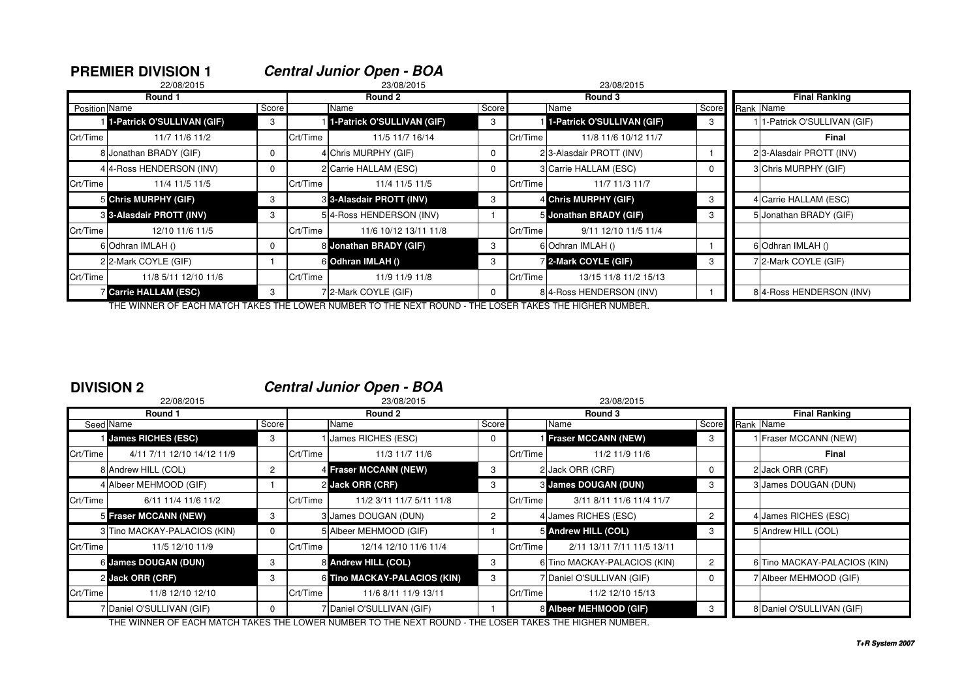|               | <b>PREMIER DIVISION 1</b>    |             |          | <b>Central Junior Open - BOA</b> |          |            |                            |       |  |                            |  |  |  |
|---------------|------------------------------|-------------|----------|----------------------------------|----------|------------|----------------------------|-------|--|----------------------------|--|--|--|
|               | 22/08/2015                   |             |          | 23/08/2015                       |          | 23/08/2015 |                            |       |  |                            |  |  |  |
|               | Round 1                      |             |          | Round 2                          |          |            | Round 3                    |       |  | <b>Final Ranking</b>       |  |  |  |
| Position Name |                              | Score       |          | Name                             | Score    |            | Name                       | Score |  | Rank Name                  |  |  |  |
|               | 1-Patrick O'SULLIVAN (GIF)   | 3           |          | 1-Patrick O'SULLIVAN (GIF)       | 3        |            | 1-Patrick O'SULLIVAN (GIF) | 3     |  | 1-Patrick O'SULLIVAN (GIF) |  |  |  |
| Crt/Time      | 11/7 11/6 11/2               |             | Crt/Time | 11/5 11/7 16/14                  |          | Crt/Time   | 11/8 11/6 10/12 11/7       |       |  | Final                      |  |  |  |
|               | 8 Jonathan BRADY (GIF)       | 0           |          | 4 Chris MURPHY (GIF)             | $\Omega$ |            | 23-Alasdair PROTT (INV)    |       |  | 23-Alasdair PROTT (INV)    |  |  |  |
|               | 4 4-Ross HENDERSON (INV)     | 0           |          | 2 Carrie HALLAM (ESC)            | $\Omega$ |            | 3 Carrie HALLAM (ESC)      | 0     |  | 3 Chris MURPHY (GIF)       |  |  |  |
| Crt/Time      | 11/4 11/5 11/5               |             | Crt/Time | 11/4 11/5 11/5                   |          | Crt/Time   | 11/7 11/3 11/7             |       |  |                            |  |  |  |
|               | 5 Chris MURPHY (GIF)         | 3           |          | <b>8 3-Alasdair PROTT (INV)</b>  | 3        |            | 4 Chris MURPHY (GIF)       | 3     |  | 4 Carrie HALLAM (ESC)      |  |  |  |
|               | 3 3-Alasdair PROTT (INV)     | 3           |          | 54-Ross HENDERSON (INV)          |          |            | 5 Jonathan BRADY (GIF)     | 3     |  | 5 Jonathan BRADY (GIF)     |  |  |  |
| Crt/Time      | 12/10 11/6 11/5              |             | Crt/Time | 11/6 10/12 13/11 11/8            |          | Crt/Time   | 9/11 12/10 11/5 11/4       |       |  |                            |  |  |  |
|               | 6 Odhran IMLAH ()            | $\mathbf 0$ |          | 8 Jonathan BRADY (GIF)           | 3        |            | 6 Odhran IMLAH ()          |       |  | 6 Odhran IMLAH ()          |  |  |  |
|               | 22-Mark COYLE (GIF)          |             |          | 6 Odhran IMLAH ()                | 3        |            | 7 2-Mark COYLE (GIF)       | 3     |  | 7 2-Mark COYLE (GIF)       |  |  |  |
| Crt/Time      | 11/8 5/11 12/10 11/6         |             | Crt/Time | 11/9 11/9 11/8                   |          | Crt/Time   | 13/15 11/8 11/2 15/13      |       |  |                            |  |  |  |
|               | <b>Z</b> Carrie HALLAM (ESC) | 3           |          | 72-Mark COYLE (GIF)              | $\Omega$ |            | 84-Ross HENDERSON (INV)    |       |  | 8 4-Ross HENDERSON (INV)   |  |  |  |

THE WINNER OF EACH MATCH TAKES THE LOWER NUMBER TO THE NEXT ROUND - THE LOSER TAKES THE HIGHER NUMBER.

### **DIVISION 2 Central Junior Open - BOA**

|          | 22/08/2015                   |                |          | 23/08/2015                   |                      | 23/08/2015 |                              |                |                      |                              |  |
|----------|------------------------------|----------------|----------|------------------------------|----------------------|------------|------------------------------|----------------|----------------------|------------------------------|--|
|          | Round 1                      |                |          | Round 2                      |                      |            | Round 3                      |                | <b>Final Ranking</b> |                              |  |
|          | Seed Name                    | Score          |          | Name                         | Score                |            | Name                         | Score          | Rank Name            |                              |  |
|          | <b>James RICHES (ESC)</b>    | 3              |          | James RICHES (ESC)           | $\Omega$             |            | <b>Fraser MCCANN (NEW)</b>   | 3              |                      | 1 Fraser MCCANN (NEW)        |  |
| Crt/Time | 4/11 7/11 12/10 14/12 11/9   |                | Crt/Time | 11/3 11/7 11/6               |                      | Crt/Time   | 11/2 11/9 11/6               |                |                      | Final                        |  |
|          | 8 Andrew HILL (COL)          | $\overline{2}$ |          | 4 Fraser MCCANN (NEW)        | 3                    |            | 2 Jack ORR (CRF)             | 0              |                      | 2 Jack ORR (CRF)             |  |
|          | 4 Albeer MEHMOOD (GIF)       |                |          | 2 Jack ORR (CRF)             | 3                    |            | 3 James DOUGAN (DUN)         | 3              |                      | 3 James DOUGAN (DUN)         |  |
| Crt/Time | 6/11 11/4 11/6 11/2          |                | Crt/Time | 11/2 3/11 11/7 5/11 11/8     |                      | Crt/Time   | 3/11 8/11 11/6 11/4 11/7     |                |                      |                              |  |
|          | 5 Fraser MCCANN (NEW)        | 3              |          | 3 James DOUGAN (DUN)         | $\mathbf{2}^{\circ}$ |            | 4 James RICHES (ESC)         | $\overline{2}$ |                      | 4 James RICHES (ESC)         |  |
|          | 3 Tino MACKAY-PALACIOS (KIN) | 0              |          | 5 Albeer MEHMOOD (GIF)       |                      |            | 5 Andrew HILL (COL)          | 3              |                      | 5 Andrew HILL (COL)          |  |
| Crt/Time | 11/5 12/10 11/9              |                | Crt/Time | 12/14 12/10 11/6 11/4        |                      | Crt/Time   | 2/11 13/11 7/11 11/5 13/11   |                |                      |                              |  |
|          | 6 James DOUGAN (DUN)         | 3              |          | 8 Andrew HILL (COL)          | 3                    |            | 6 Tino MACKAY-PALACIOS (KIN) | $\overline{2}$ |                      | 6 Tino MACKAY-PALACIOS (KIN) |  |
|          | 2 Jack ORR (CRF)             | 3              |          | 6 Tino MACKAY-PALACIOS (KIN) | 3                    |            | 7 Daniel O'SULLIVAN (GIF)    | 0              |                      | 7 Albeer MEHMOOD (GIF)       |  |
| Crt/Time | 11/8 12/10 12/10             |                | Crt/Time | 11/6 8/11 11/9 13/11         |                      | Crt/Time   | 11/2 12/10 15/13             |                |                      |                              |  |
|          | 7 Daniel O'SULLIVAN (GIF)    | 0              |          | 7 Daniel O'SULLIVAN (GIF)    |                      |            | 8 Albeer MEHMOOD (GIF)       |                |                      | 8 Daniel O'SULLIVAN (GIF)    |  |

THE WINNER OF EACH MATCH TAKES THE LOWER NUMBER TO THE NEXT ROUND - THE LOSER TAKES THE HIGHER NUMBER.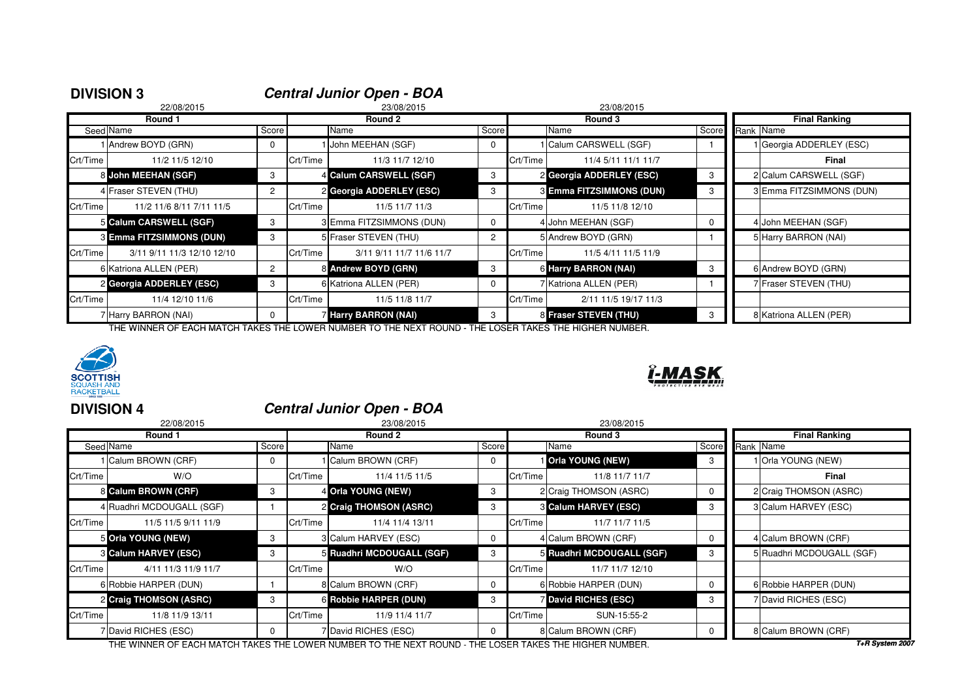| <b>DIVISION 3</b> |                            |                      |          | <b>Central Junior Open - BOA</b> |              |          |                                 |          |                      |                          |  |
|-------------------|----------------------------|----------------------|----------|----------------------------------|--------------|----------|---------------------------------|----------|----------------------|--------------------------|--|
|                   | 22/08/2015                 |                      |          | 23/08/2015                       |              |          | 23/08/2015                      |          |                      |                          |  |
|                   | Round 1                    |                      | Round 2  |                                  |              |          | Round 3                         |          | <b>Final Ranking</b> |                          |  |
|                   | Seed Name                  | Score                |          | Name                             | Score        |          | Name                            | Score    |                      | Rank Name                |  |
|                   | Andrew BOYD (GRN)          | $\mathbf{0}$         |          | I John MEEHAN (SGF)              | $^{\circ}$   |          | 1 Calum CARSWELL (SGF)          |          |                      | 1 Georgia ADDERLEY (ESC) |  |
| Crt/Time          | 11/2 11/5 12/10            |                      | Crt/Time | 11/3 11/7 12/10                  |              | Crt/Time | 11/4 5/11 11/1 11/7             |          |                      | Final                    |  |
|                   | 8 John MEEHAN (SGF)        | 3                    |          | 4 Calum CARSWELL (SGF)           | 3            |          | 2 Georgia ADDERLEY (ESC)        | 3        |                      | 2 Calum CARSWELL (SGF)   |  |
|                   | 4 Fraser STEVEN (THU)      | $\mathbf{2}^{\circ}$ |          | 2 Georgia ADDERLEY (ESC)         | 3            |          | <b>3 Emma FITZSIMMONS (DUN)</b> | 3        |                      | 3 Emma FITZSIMMONS (DUN) |  |
| Crt/Time          | 11/2 11/6 8/11 7/11 11/5   |                      | Crt/Time | 11/5 11/7 11/3                   |              | Crt/Time | 11/5 11/8 12/10                 |          |                      |                          |  |
|                   | 5 Calum CARSWELL (SGF)     | 3                    |          | 3 Emma FITZSIMMONS (DUN)         | $^{\circ}$   |          | 4 John MEEHAN (SGF)             | $\Omega$ |                      | 4 John MEEHAN (SGF)      |  |
|                   | 3 Emma FITZSIMMONS (DUN)   | 3                    |          | 5 Fraser STEVEN (THU)            | $\mathbf{2}$ |          | 5 Andrew BOYD (GRN)             |          |                      | 5 Harry BARRON (NAI)     |  |
| Crt/Time          | 3/11 9/11 11/3 12/10 12/10 |                      | Crt/Time | 3/11 9/11 11/7 11/6 11/7         |              | Crt/Time | 11/5 4/11 11/5 11/9             |          |                      |                          |  |
|                   | 6 Katriona ALLEN (PER)     | $\overline{2}$       |          | 8 Andrew BOYD (GRN)              | 3            |          | <b>6 Harry BARRON (NAI)</b>     | 3        |                      | 6 Andrew BOYD (GRN)      |  |
|                   | 2 Georgia ADDERLEY (ESC)   | 3                    |          | 6 Katriona ALLEN (PER)           | $\mathbf{0}$ |          | 7 Katriona ALLEN (PER)          |          |                      | 7 Fraser STEVEN (THU)    |  |
| Crt/Time          | 11/4 12/10 11/6            |                      | Crt/Time | 11/5 11/8 11/7                   |              | Crt/Time | 2/11 11/5 19/17 11/3            |          |                      |                          |  |
|                   | 7 Harry BARRON (NAI)       | $\Omega$             |          | Harry BARRON (NAI)               | 3            |          | 8 Fraser STEVEN (THU)           | 3        |                      | 8 Katriona ALLEN (PER)   |  |



# **DIVISION 4 Central Junior Open - BOA**

| 22/08/2015          |                                                                                                                                                                                                                                               |          | 23/08/2015      |                                                                                                                                                                                                | 23/08/2015 |                 |                                                                                                                                                                                                                                                         |                           |  |  |  |
|---------------------|-----------------------------------------------------------------------------------------------------------------------------------------------------------------------------------------------------------------------------------------------|----------|-----------------|------------------------------------------------------------------------------------------------------------------------------------------------------------------------------------------------|------------|-----------------|---------------------------------------------------------------------------------------------------------------------------------------------------------------------------------------------------------------------------------------------------------|---------------------------|--|--|--|
| Round 1             |                                                                                                                                                                                                                                               |          | Round 2         |                                                                                                                                                                                                |            | Round 3         |                                                                                                                                                                                                                                                         | <b>Final Ranking</b>      |  |  |  |
|                     |                                                                                                                                                                                                                                               |          | Score<br>Name   |                                                                                                                                                                                                | Name       |                 | Score                                                                                                                                                                                                                                                   | Rank Name                 |  |  |  |
| Calum BROWN (CRF)   | $\mathbf 0$                                                                                                                                                                                                                                   |          |                 | $\mathbf{0}$                                                                                                                                                                                   |            |                 | 3                                                                                                                                                                                                                                                       | <b>Orla YOUNG (NEW)</b>   |  |  |  |
| W/O                 |                                                                                                                                                                                                                                               | Crt/Time | 11/4 11/5 11/5  |                                                                                                                                                                                                |            | 11/8 11/7 11/7  |                                                                                                                                                                                                                                                         | Final                     |  |  |  |
|                     | 3                                                                                                                                                                                                                                             |          |                 | 3                                                                                                                                                                                              |            |                 | $\Omega$                                                                                                                                                                                                                                                | 2 Craig THOMSON (ASRC)    |  |  |  |
|                     |                                                                                                                                                                                                                                               |          |                 | 3                                                                                                                                                                                              |            |                 | 3                                                                                                                                                                                                                                                       | 3 Calum HARVEY (ESC)      |  |  |  |
| 11/5 11/5 9/11 11/9 |                                                                                                                                                                                                                                               | Crt/Time | 11/4 11/4 13/11 |                                                                                                                                                                                                |            | 11/7 11/7 11/5  |                                                                                                                                                                                                                                                         |                           |  |  |  |
|                     | 3                                                                                                                                                                                                                                             |          |                 | $\mathbf{0}$                                                                                                                                                                                   |            |                 | $\Omega$                                                                                                                                                                                                                                                | 4 Calum BROWN (CRF)       |  |  |  |
|                     | 3                                                                                                                                                                                                                                             |          |                 | 3                                                                                                                                                                                              |            |                 | 3                                                                                                                                                                                                                                                       | 5 Ruadhri MCDOUGALL (SGF) |  |  |  |
| 4/11 11/3 11/9 11/7 |                                                                                                                                                                                                                                               | Crt/Time | W/O             |                                                                                                                                                                                                |            | 11/7 11/7 12/10 |                                                                                                                                                                                                                                                         |                           |  |  |  |
|                     |                                                                                                                                                                                                                                               |          |                 | $\mathbf{0}$                                                                                                                                                                                   |            |                 | $\Omega$                                                                                                                                                                                                                                                | 6 Robbie HARPER (DUN)     |  |  |  |
|                     | 3                                                                                                                                                                                                                                             |          |                 | 3                                                                                                                                                                                              |            |                 | 3                                                                                                                                                                                                                                                       | 7 David RICHES (ESC)      |  |  |  |
| 11/8 11/9 13/11     |                                                                                                                                                                                                                                               | Crt/Time | 11/9 11/4 11/7  |                                                                                                                                                                                                |            | SUN-15:55-2     |                                                                                                                                                                                                                                                         |                           |  |  |  |
|                     | 0                                                                                                                                                                                                                                             |          |                 | $\Omega$                                                                                                                                                                                       |            |                 |                                                                                                                                                                                                                                                         | 8 Calum BROWN (CRF)       |  |  |  |
|                     | Seed Name<br>Crt/Time<br>8 Calum BROWN (CRF)<br>4 Ruadhri MCDOUGALL (SGF)<br>Crt/Time<br>5 Orla YOUNG (NEW)<br><b>3 Calum HARVEY (ESC)</b><br>Crt/Time<br>6 Robbie HARPER (DUN)<br>2 Craig THOMSON (ASRC)<br>Crt/Time<br>7 David RICHES (ESC) |          | Score           | Calum BROWN (CRF)<br>4 Orla YOUNG (NEW)<br>2 Craig THOMSON (ASRC)<br>3 Calum HARVEY (ESC)<br>5 Ruadhri MCDOUGALL (SGF)<br>8 Calum BROWN (CRF)<br>6 Robbie HARPER (DUN)<br>7 David RICHES (ESC) |            | Crt/Time        | <b>Orla YOUNG (NEW)</b><br>2 Craig THOMSON (ASRC)<br><b>8 Calum HARVEY (ESC)</b><br>Crt/Time<br>4 Calum BROWN (CRF)<br>5 Ruadhri MCDOUGALL (SGF)<br>Crt/Time<br>6 Robbie HARPER (DUN)<br><b>7 David RICHES (ESC)</b><br>Crt/Time<br>8 Calum BROWN (CRF) |                           |  |  |  |

THE WINNER OF EACH MATCH TAKES THE LOWER NUMBER TO THE NEXT ROUND - THE LOSER TAKES THE HIGHER NUMBER.

**T+R System 2007**

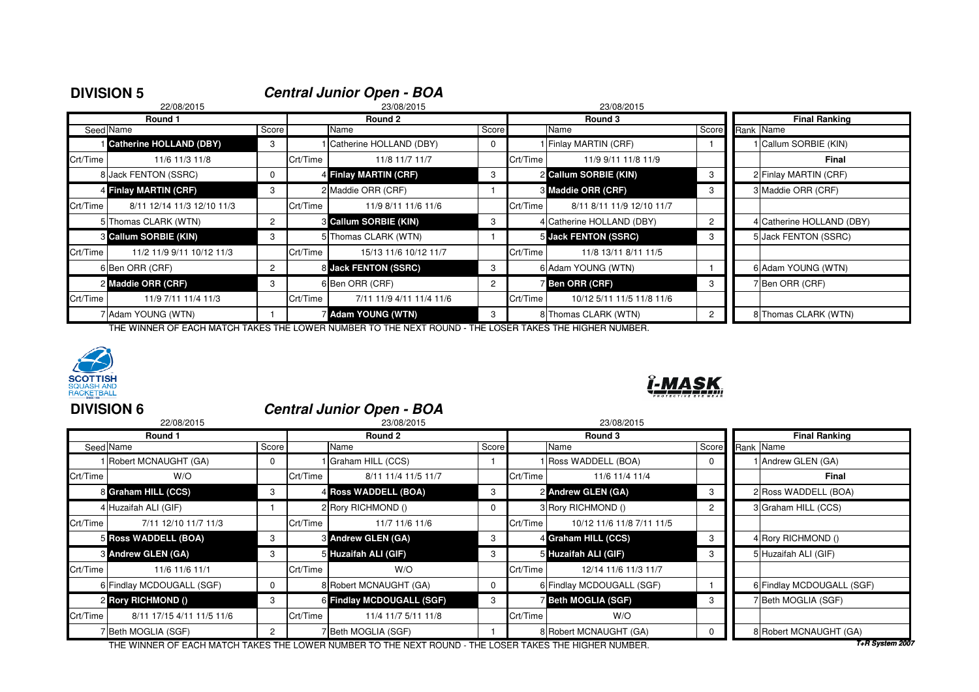| <b>DIVISION 5</b> |                              |                      |          | <b>Central Junior Open - BOA</b> |            |          |                             |       |           |                           |  |  |
|-------------------|------------------------------|----------------------|----------|----------------------------------|------------|----------|-----------------------------|-------|-----------|---------------------------|--|--|
|                   | 22/08/2015                   |                      |          | 23/08/2015                       | 23/08/2015 |          |                             |       |           |                           |  |  |
|                   | Round 1                      |                      |          | Round 2                          |            |          | Round 3                     |       |           | <b>Final Ranking</b>      |  |  |
|                   | Seed Name                    | Score                |          | Name                             | Score      |          | Name                        | Score | Rank Name |                           |  |  |
|                   | Catherine HOLLAND (DBY)      | 3                    |          | Catherine HOLLAND (DBY)          | 0          |          | 1 Finlay MARTIN (CRF)       |       |           | Callum SORBIE (KIN)       |  |  |
| Crt/Time          | 11/6 11/3 11/8               |                      | Crt/Time | 11/8 11/7 11/7                   |            | Crt/Time | 11/9 9/11 11/8 11/9         |       |           | <b>Final</b>              |  |  |
|                   | 8 Jack FENTON (SSRC)         | $\mathbf 0$          |          | 4 Finlay MARTIN (CRF)            | 3          |          | 2 Callum SORBIE (KIN)       | 3     |           | 2 Finlay MARTIN (CRF)     |  |  |
|                   | 4 Finlay MARTIN (CRF)        | 3                    |          | 2 Maddie ORR (CRF)               |            |          | <b>8 Maddie ORR (CRF)</b>   | 3     |           | 3 Maddie ORR (CRF)        |  |  |
| Crt/Time          | 8/11 12/14 11/3 12/10 11/3   |                      | Crt/Time | 11/9 8/11 11/6 11/6              |            | Crt/Time | 8/11 8/11 11/9 12/10 11/7   |       |           |                           |  |  |
|                   | 5 Thomas CLARK (WTN)         | $\mathbf{2}^{\circ}$ |          | <b>6 Callum SORBIE (KIN)</b>     | 3          |          | 4 Catherine HOLLAND (DBY)   | 2     |           | 4 Catherine HOLLAND (DBY) |  |  |
|                   | <b>8 Callum SORBIE (KIN)</b> | 3                    |          | 5 Thomas CLARK (WTN)             |            |          | <b>5 Jack FENTON (SSRC)</b> | 3     |           | 5 Jack FENTON (SSRC)      |  |  |
| Crt/Time          | 11/2 11/9 9/11 10/12 11/3    |                      | Crt/Time | 15/13 11/6 10/12 11/7            |            | Crt/Time | 11/8 13/11 8/11 11/5        |       |           |                           |  |  |
|                   | 6 Ben ORR (CRF)              | $\mathbf{2}^{\circ}$ |          | 8 Jack FENTON (SSRC)             | 3          |          | 6 Adam YOUNG (WTN)          |       |           | 6 Adam YOUNG (WTN)        |  |  |
|                   | 2 Maddie ORR (CRF)           | 3                    |          | 6 Ben ORR (CRF)                  | 2          |          | 7 Ben ORR (CRF)             | 3     |           | 7 Ben ORR (CRF)           |  |  |
| Crt/Time          | 11/9 7/11 11/4 11/3          |                      | Crt/Time | 7/11 11/9 4/11 11/4 11/6         |            | Crt/Time | 10/12 5/11 11/5 11/8 11/6   |       |           |                           |  |  |
|                   | 7 Adam YOUNG (WTN)           |                      |          | <b>Z</b> Adam YOUNG (WTN)        | 3          |          | 8 Thomas CLARK (WTN)        | 2     |           | 8 Thomas CLARK (WTN)      |  |  |

THE WINNER OF EACH MATCH TAKES THE LOWER NUMBER TO THE NEXT ROUND - THE LOSER TAKES THE HIGHER NUMBER.



| <b>RACKETBALL</b> |                                  |
|-------------------|----------------------------------|
| <b>DIVISION 6</b> | <b>Central Junior Open - BOA</b> |

| 22/08/2015                |                                                                                                                                                                                                                                  | 23/08/2015                                            |                                                                                                                                                                                                    | 23/08/2015 |                           |                                                                                                                                                                                                                                      |                           |  |  |  |
|---------------------------|----------------------------------------------------------------------------------------------------------------------------------------------------------------------------------------------------------------------------------|-------------------------------------------------------|----------------------------------------------------------------------------------------------------------------------------------------------------------------------------------------------------|------------|---------------------------|--------------------------------------------------------------------------------------------------------------------------------------------------------------------------------------------------------------------------------------|---------------------------|--|--|--|
| Round 1                   |                                                                                                                                                                                                                                  | Round 2                                               |                                                                                                                                                                                                    |            | Round 3                   |                                                                                                                                                                                                                                      | <b>Final Ranking</b>      |  |  |  |
|                           |                                                                                                                                                                                                                                  | Name                                                  |                                                                                                                                                                                                    | Name       |                           | Score                                                                                                                                                                                                                                | Rank Name                 |  |  |  |
| Robert MCNAUGHT (GA)      | 0                                                                                                                                                                                                                                |                                                       |                                                                                                                                                                                                    |            |                           | 0                                                                                                                                                                                                                                    | I Andrew GLEN (GA)        |  |  |  |
| W/O                       |                                                                                                                                                                                                                                  | 8/11 11/4 11/5 11/7                                   |                                                                                                                                                                                                    |            | 11/6 11/4 11/4            |                                                                                                                                                                                                                                      | Final                     |  |  |  |
|                           | 3                                                                                                                                                                                                                                |                                                       | 3                                                                                                                                                                                                  |            |                           | 3                                                                                                                                                                                                                                    | 2 Ross WADDELL (BOA)      |  |  |  |
|                           |                                                                                                                                                                                                                                  |                                                       | 0                                                                                                                                                                                                  |            |                           | 2                                                                                                                                                                                                                                    | 3 Graham HILL (CCS)       |  |  |  |
| 7/11 12/10 11/7 11/3      |                                                                                                                                                                                                                                  | 11/7 11/6 11/6                                        |                                                                                                                                                                                                    |            | 10/12 11/6 11/8 7/11 11/5 |                                                                                                                                                                                                                                      |                           |  |  |  |
|                           | 3                                                                                                                                                                                                                                |                                                       | 3                                                                                                                                                                                                  |            |                           | 3                                                                                                                                                                                                                                    | 4 Rory RICHMOND ()        |  |  |  |
|                           | 3                                                                                                                                                                                                                                |                                                       | 3                                                                                                                                                                                                  |            |                           | 3                                                                                                                                                                                                                                    | 5 Huzaifah ALI (GIF)      |  |  |  |
| 11/6 11/6 11/1            |                                                                                                                                                                                                                                  | W/O                                                   |                                                                                                                                                                                                    |            | 12/14 11/6 11/3 11/7      |                                                                                                                                                                                                                                      |                           |  |  |  |
|                           | 0                                                                                                                                                                                                                                |                                                       | $\mathbf{0}$                                                                                                                                                                                       |            |                           |                                                                                                                                                                                                                                      | 6 Findlay MCDOUGALL (SGF) |  |  |  |
|                           | 3                                                                                                                                                                                                                                |                                                       | 3                                                                                                                                                                                                  |            |                           | 3                                                                                                                                                                                                                                    | 7Beth MOGLIA (SGF)        |  |  |  |
| 8/11 17/15 4/11 11/5 11/6 |                                                                                                                                                                                                                                  | 11/4 11/7 5/11 11/8                                   |                                                                                                                                                                                                    |            | W/O                       |                                                                                                                                                                                                                                      |                           |  |  |  |
|                           | $\overline{2}$                                                                                                                                                                                                                   |                                                       |                                                                                                                                                                                                    |            |                           |                                                                                                                                                                                                                                      | 8 Robert MCNAUGHT (GA)    |  |  |  |
|                           | Seed Name<br>Crt/Time<br>8 Graham HILL (CCS)<br>4 Huzaifah ALI (GIF)<br>Crt/Time<br>5 Ross WADDELL (BOA)<br>3 Andrew GLEN (GA)<br>Crt/Time<br>6 Findlay MCDOUGALL (SGF)<br>2 Rory RICHMOND ()<br>Crt/Time<br>7 Beth MOGLIA (SGF) | Score<br>Crt/Time<br>Crt/Time<br>Crt/Time<br>Crt/Time | Graham HILL (CCS)<br>4 Ross WADDELL (BOA)<br>2 Rory RICHMOND ()<br><b>3 Andrew GLEN (GA)</b><br>5 Huzaifah ALI (GIF)<br>8 Robert MCNAUGHT (GA)<br>6 Findlay MCDOUGALL (SGF)<br>7 Beth MOGLIA (SGF) | Score      | Crt/Time                  | Ross WADDELL (BOA)<br>Crt/Time<br>2 Andrew GLEN (GA)<br>3 Rory RICHMOND ()<br>Crt/Time<br>4 Graham HILL (CCS)<br>5 Huzaifah ALI (GIF)<br>6 Findlay MCDOUGALL (SGF)<br><b>Beth MOGLIA (SGF)</b><br>Crt/Time<br>8 Robert MCNAUGHT (GA) |                           |  |  |  |

<u>ï-MASK, </u>

THE WINNER OF EACH MATCH TAKES THE LOWER NUMBER TO THE NEXT ROUND - THE LOSER TAKES THE HIGHER NUMBER.

**T+R System 2007**